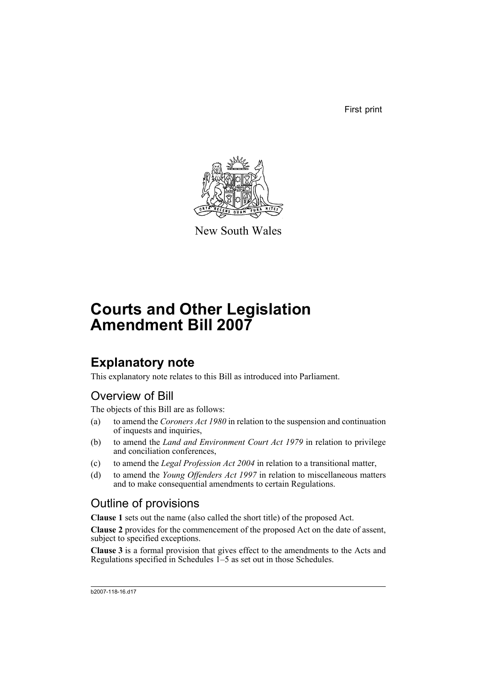First print



New South Wales

# **Courts and Other Legislation Amendment Bill 2007**

# **Explanatory note**

This explanatory note relates to this Bill as introduced into Parliament.

# Overview of Bill

The objects of this Bill are as follows:

- (a) to amend the *Coroners Act 1980* in relation to the suspension and continuation of inquests and inquiries,
- (b) to amend the *Land and Environment Court Act 1979* in relation to privilege and conciliation conferences,
- (c) to amend the *Legal Profession Act 2004* in relation to a transitional matter,
- (d) to amend the *Young Offenders Act 1997* in relation to miscellaneous matters and to make consequential amendments to certain Regulations.

# Outline of provisions

**Clause 1** sets out the name (also called the short title) of the proposed Act.

**Clause 2** provides for the commencement of the proposed Act on the date of assent, subject to specified exceptions.

**Clause 3** is a formal provision that gives effect to the amendments to the Acts and Regulations specified in Schedules 1–5 as set out in those Schedules.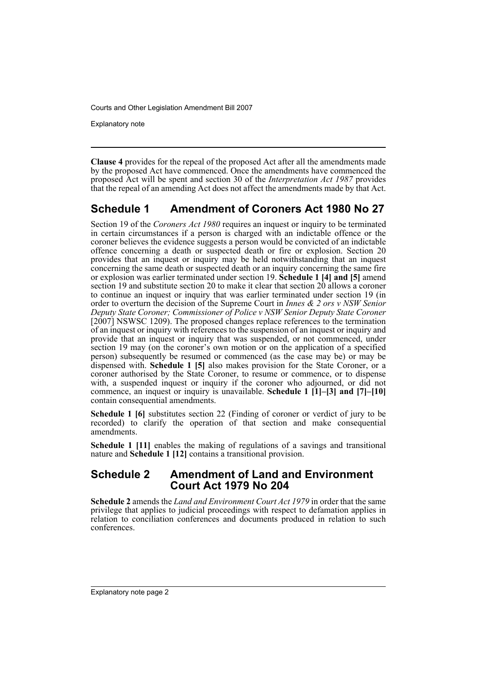Explanatory note

**Clause 4** provides for the repeal of the proposed Act after all the amendments made by the proposed Act have commenced. Once the amendments have commenced the proposed Act will be spent and section 30 of the *Interpretation Act 1987* provides that the repeal of an amending Act does not affect the amendments made by that Act.

# **Schedule 1 Amendment of Coroners Act 1980 No 27**

Section 19 of the *Coroners Act 1980* requires an inquest or inquiry to be terminated in certain circumstances if a person is charged with an indictable offence or the coroner believes the evidence suggests a person would be convicted of an indictable offence concerning a death or suspected death or fire or explosion. Section 20 provides that an inquest or inquiry may be held notwithstanding that an inquest concerning the same death or suspected death or an inquiry concerning the same fire or explosion was earlier terminated under section 19. **Schedule 1 [4] and [5]** amend section 19 and substitute section 20 to make it clear that section 20 allows a coroner to continue an inquest or inquiry that was earlier terminated under section 19 (in order to overturn the decision of the Supreme Court in *Innes & 2 ors v NSW Senior Deputy State Coroner; Commissioner of Police v NSW Senior Deputy State Coroner* [ $2007$ ] NSWSC 1209). The proposed changes replace references to the termination of an inquest or inquiry with references to the suspension of an inquest or inquiry and provide that an inquest or inquiry that was suspended, or not commenced, under section 19 may (on the coroner's own motion or on the application of a specified person) subsequently be resumed or commenced (as the case may be) or may be dispensed with. **Schedule 1 [5]** also makes provision for the State Coroner, or a coroner authorised by the State Coroner, to resume or commence, or to dispense with, a suspended inquest or inquiry if the coroner who adjourned, or did not commence, an inquest or inquiry is unavailable. **Schedule 1 [1]–[3] and [7]–[10]** contain consequential amendments.

**Schedule 1 [6]** substitutes section 22 (Finding of coroner or verdict of jury to be recorded) to clarify the operation of that section and make consequential amendments.

**Schedule 1 [11]** enables the making of regulations of a savings and transitional nature and **Schedule 1 [12]** contains a transitional provision.

## **Schedule 2 Amendment of Land and Environment Court Act 1979 No 204**

**Schedule 2** amends the *Land and Environment Court Act 1979* in order that the same privilege that applies to judicial proceedings with respect to defamation applies in relation to conciliation conferences and documents produced in relation to such conferences.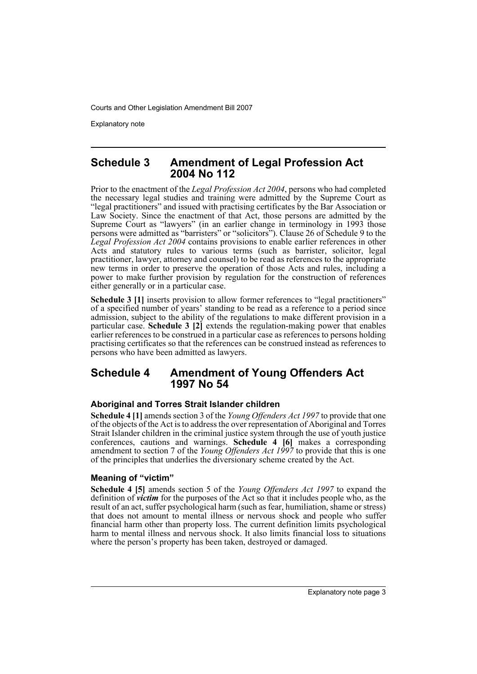Explanatory note

### **Schedule 3 Amendment of Legal Profession Act 2004 No 112**

Prior to the enactment of the *Legal Profession Act 2004*, persons who had completed the necessary legal studies and training were admitted by the Supreme Court as "legal practitioners" and issued with practising certificates by the Bar Association or Law Society. Since the enactment of that Act, those persons are admitted by the Supreme Court as "lawyers" (in an earlier change in terminology in 1993 those persons were admitted as "barristers" or "solicitors"). Clause 26 of Schedule 9 to the *Legal Profession Act 2004* contains provisions to enable earlier references in other Acts and statutory rules to various terms (such as barrister, solicitor, legal practitioner, lawyer, attorney and counsel) to be read as references to the appropriate new terms in order to preserve the operation of those Acts and rules, including a power to make further provision by regulation for the construction of references either generally or in a particular case.

**Schedule 3 [1]** inserts provision to allow former references to "legal practitioners" of a specified number of years' standing to be read as a reference to a period since admission, subject to the ability of the regulations to make different provision in a particular case. **Schedule 3 [2]** extends the regulation-making power that enables earlier references to be construed in a particular case as references to persons holding practising certificates so that the references can be construed instead as references to persons who have been admitted as lawyers.

## **Schedule 4 Amendment of Young Offenders Act 1997 No 54**

#### **Aboriginal and Torres Strait Islander children**

**Schedule 4 [1]** amends section 3 of the *Young Offenders Act 1997* to provide that one of the objects of the Act is to address the over representation of Aboriginal and Torres Strait Islander children in the criminal justice system through the use of youth justice conferences, cautions and warnings. **Schedule 4 [6]** makes a corresponding amendment to section 7 of the *Young Offenders Act 1997* to provide that this is one of the principles that underlies the diversionary scheme created by the Act.

### **Meaning of "victim"**

**Schedule 4 [5]** amends section 5 of the *Young Offenders Act 1997* to expand the definition of *victim* for the purposes of the Act so that it includes people who, as the result of an act, suffer psychological harm (such as fear, humiliation, shame or stress) that does not amount to mental illness or nervous shock and people who suffer financial harm other than property loss. The current definition limits psychological harm to mental illness and nervous shock. It also limits financial loss to situations where the person's property has been taken, destroyed or damaged.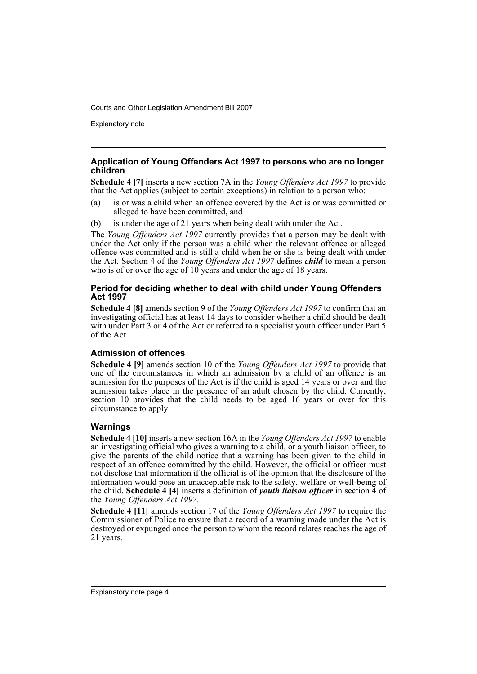Explanatory note

#### **Application of Young Offenders Act 1997 to persons who are no longer children**

**Schedule 4 [7]** inserts a new section 7A in the *Young Offenders Act 1997* to provide that the Act applies (subject to certain exceptions) in relation to a person who:

- (a) is or was a child when an offence covered by the Act is or was committed or alleged to have been committed, and
- (b) is under the age of 21 years when being dealt with under the Act.

The *Young Offenders Act 1997* currently provides that a person may be dealt with under the Act only if the person was a child when the relevant offence or alleged offence was committed and is still a child when he or she is being dealt with under the Act. Section 4 of the *Young Offenders Act 1997* defines *child* to mean a person who is of or over the age of 10 years and under the age of 18 years.

#### **Period for deciding whether to deal with child under Young Offenders Act 1997**

**Schedule 4 [8]** amends section 9 of the *Young Offenders Act 1997* to confirm that an investigating official has at least 14 days to consider whether a child should be dealt with under Part 3 or 4 of the Act or referred to a specialist youth officer under Part 5 of the Act.

#### **Admission of offences**

**Schedule 4 [9]** amends section 10 of the *Young Offenders Act 1997* to provide that one of the circumstances in which an admission by a child of an offence is an admission for the purposes of the Act is if the child is aged 14 years or over and the admission takes place in the presence of an adult chosen by the child. Currently, section 10 provides that the child needs to be aged 16 years or over for this circumstance to apply.

#### **Warnings**

**Schedule 4 [10]** inserts a new section 16A in the *Young Offenders Act 1997* to enable an investigating official who gives a warning to a child, or a youth liaison officer, to give the parents of the child notice that a warning has been given to the child in respect of an offence committed by the child. However, the official or officer must not disclose that information if the official is of the opinion that the disclosure of the information would pose an unacceptable risk to the safety, welfare or well-being of the child. **Schedule 4 [4]** inserts a definition of *youth liaison officer* in section 4 of the *Young Offenders Act 1997*.

**Schedule 4 [11]** amends section 17 of the *Young Offenders Act 1997* to require the Commissioner of Police to ensure that a record of a warning made under the Act is destroyed or expunged once the person to whom the record relates reaches the age of 21 years.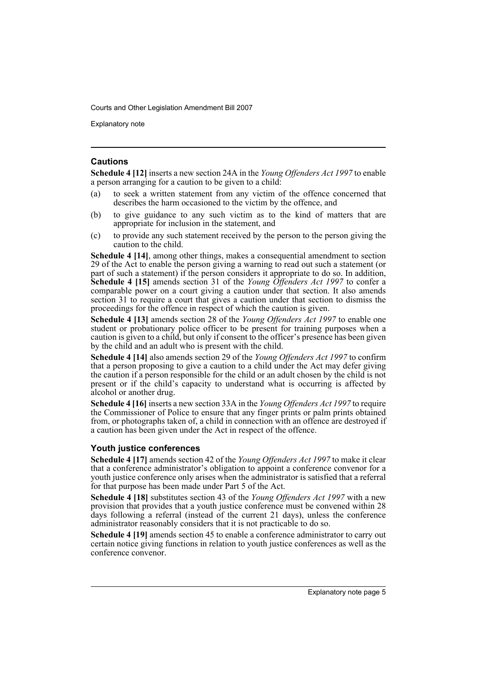Explanatory note

#### **Cautions**

**Schedule 4 [12]** inserts a new section 24A in the *Young Offenders Act 1997* to enable a person arranging for a caution to be given to a child:

- (a) to seek a written statement from any victim of the offence concerned that describes the harm occasioned to the victim by the offence, and
- (b) to give guidance to any such victim as to the kind of matters that are appropriate for inclusion in the statement, and
- (c) to provide any such statement received by the person to the person giving the caution to the child.

**Schedule 4 [14]**, among other things, makes a consequential amendment to section 29 of the Act to enable the person giving a warning to read out such a statement (or part of such a statement) if the person considers it appropriate to do so. In addition, **Schedule 4 [15]** amends section 31 of the *Young Offenders Act 1997* to confer a comparable power on a court giving a caution under that section. It also amends section 31 to require a court that gives a caution under that section to dismiss the proceedings for the offence in respect of which the caution is given.

**Schedule 4 [13]** amends section 28 of the *Young Offenders Act 1997* to enable one student or probationary police officer to be present for training purposes when a caution is given to a child, but only if consent to the officer's presence has been given by the child and an adult who is present with the child.

**Schedule 4 [14]** also amends section 29 of the *Young Offenders Act 1997* to confirm that a person proposing to give a caution to a child under the Act may defer giving the caution if a person responsible for the child or an adult chosen by the child is not present or if the child's capacity to understand what is occurring is affected by alcohol or another drug.

**Schedule 4 [16]** inserts a new section 33A in the *Young Offenders Act 1997* to require the Commissioner of Police to ensure that any finger prints or palm prints obtained from, or photographs taken of, a child in connection with an offence are destroyed if a caution has been given under the Act in respect of the offence.

#### **Youth justice conferences**

**Schedule 4 [17]** amends section 42 of the *Young Offenders Act 1997* to make it clear that a conference administrator's obligation to appoint a conference convenor for a youth justice conference only arises when the administrator is satisfied that a referral for that purpose has been made under Part 5 of the Act.

**Schedule 4 [18]** substitutes section 43 of the *Young Offenders Act 1997* with a new provision that provides that a youth justice conference must be convened within 28 days following a referral (instead of the current 21 days), unless the conference administrator reasonably considers that it is not practicable to do so.

**Schedule 4 [19]** amends section 45 to enable a conference administrator to carry out certain notice giving functions in relation to youth justice conferences as well as the conference convenor.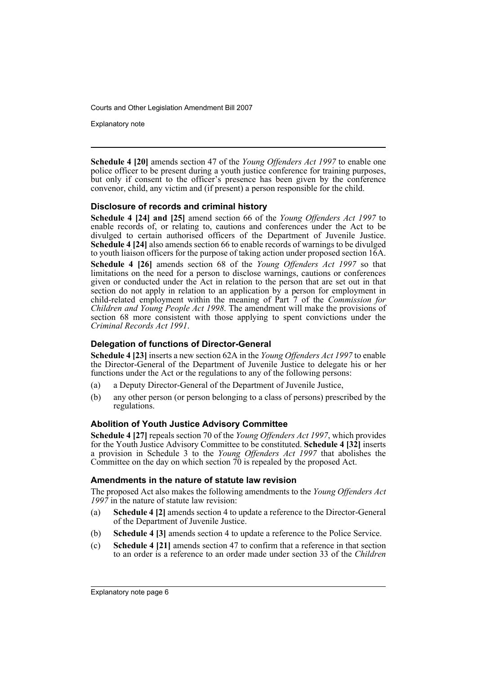Explanatory note

**Schedule 4 [20]** amends section 47 of the *Young Offenders Act 1997* to enable one police officer to be present during a youth justice conference for training purposes, but only if consent to the officer's presence has been given by the conference convenor, child, any victim and (if present) a person responsible for the child.

#### **Disclosure of records and criminal history**

**Schedule 4 [24] and [25]** amend section 66 of the *Young Offenders Act 1997* to enable records of, or relating to, cautions and conferences under the Act to be divulged to certain authorised officers of the Department of Juvenile Justice. **Schedule 4 [24]** also amends section 66 to enable records of warnings to be divulged to youth liaison officers for the purpose of taking action under proposed section 16A. **Schedule 4 [26]** amends section 68 of the *Young Offenders Act 1997* so that limitations on the need for a person to disclose warnings, cautions or conferences given or conducted under the Act in relation to the person that are set out in that section do not apply in relation to an application by a person for employment in child-related employment within the meaning of Part 7 of the *Commission for Children and Young People Act 1998*. The amendment will make the provisions of section 68 more consistent with those applying to spent convictions under the *Criminal Records Act 1991*.

#### **Delegation of functions of Director-General**

**Schedule 4 [23]** inserts a new section 62A in the *Young Offenders Act 1997* to enable the Director-General of the Department of Juvenile Justice to delegate his or her functions under the Act or the regulations to any of the following persons:

- (a) a Deputy Director-General of the Department of Juvenile Justice,
- (b) any other person (or person belonging to a class of persons) prescribed by the regulations.

#### **Abolition of Youth Justice Advisory Committee**

**Schedule 4 [27]** repeals section 70 of the *Young Offenders Act 1997*, which provides for the Youth Justice Advisory Committee to be constituted. **Schedule 4 [32]** inserts a provision in Schedule 3 to the *Young Offenders Act 1997* that abolishes the Committee on the day on which section 70 is repealed by the proposed Act.

#### **Amendments in the nature of statute law revision**

The proposed Act also makes the following amendments to the *Young Offenders Act 1997* in the nature of statute law revision:

- (a) **Schedule 4 [2]** amends section 4 to update a reference to the Director-General of the Department of Juvenile Justice.
- (b) **Schedule 4 [3]** amends section 4 to update a reference to the Police Service.
- (c) **Schedule 4 [21]** amends section 47 to confirm that a reference in that section to an order is a reference to an order made under section 33 of the *Children*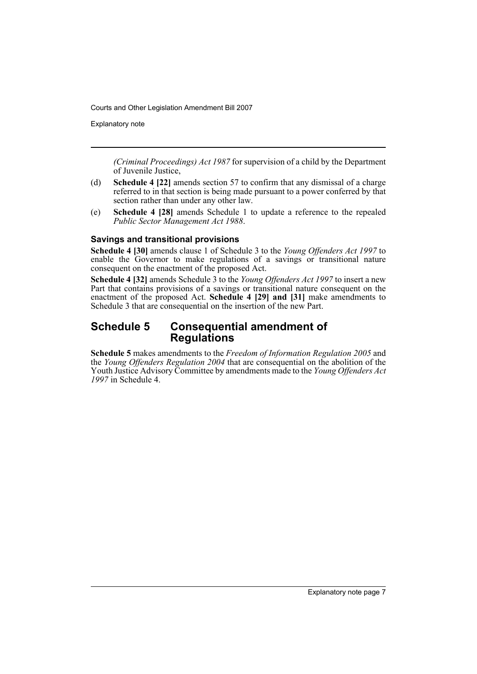Explanatory note

*(Criminal Proceedings) Act 1987* for supervision of a child by the Department of Juvenile Justice,

- (d) **Schedule 4 [22]** amends section 57 to confirm that any dismissal of a charge referred to in that section is being made pursuant to a power conferred by that section rather than under any other law.
- (e) **Schedule 4 [28]** amends Schedule 1 to update a reference to the repealed *Public Sector Management Act 1988*.

#### **Savings and transitional provisions**

**Schedule 4 [30]** amends clause 1 of Schedule 3 to the *Young Offenders Act 1997* to enable the Governor to make regulations of a savings or transitional nature consequent on the enactment of the proposed Act.

**Schedule 4 [32]** amends Schedule 3 to the *Young Offenders Act 1997* to insert a new Part that contains provisions of a savings or transitional nature consequent on the enactment of the proposed Act. **Schedule 4 [29] and [31]** make amendments to Schedule 3 that are consequential on the insertion of the new Part.

### **Schedule 5 Consequential amendment of Regulations**

**Schedule 5** makes amendments to the *Freedom of Information Regulation 2005* and the *Young Offenders Regulation 2004* that are consequential on the abolition of the Youth Justice Advisory Committee by amendments made to the *Young Offenders Act 1997* in Schedule 4.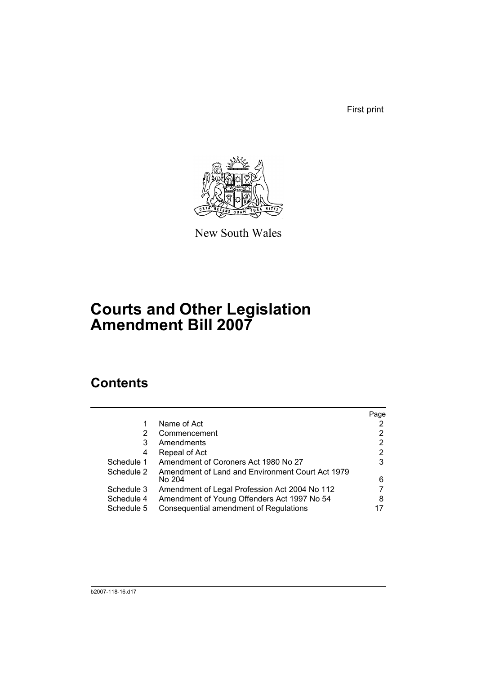First print



New South Wales

# **Courts and Other Legislation Amendment Bill 2007**

# **Contents**

|            |                                                  | Page |
|------------|--------------------------------------------------|------|
| 1          | Name of Act                                      |      |
| 2          | Commencement                                     | 2    |
| 3          | Amendments                                       | 2    |
| 4          | Repeal of Act                                    | 2    |
| Schedule 1 | Amendment of Coroners Act 1980 No 27             | 3    |
| Schedule 2 | Amendment of Land and Environment Court Act 1979 |      |
|            | No 204                                           | 6    |
| Schedule 3 | Amendment of Legal Profession Act 2004 No 112    |      |
| Schedule 4 | Amendment of Young Offenders Act 1997 No 54      | 8    |
| Schedule 5 | Consequential amendment of Regulations           |      |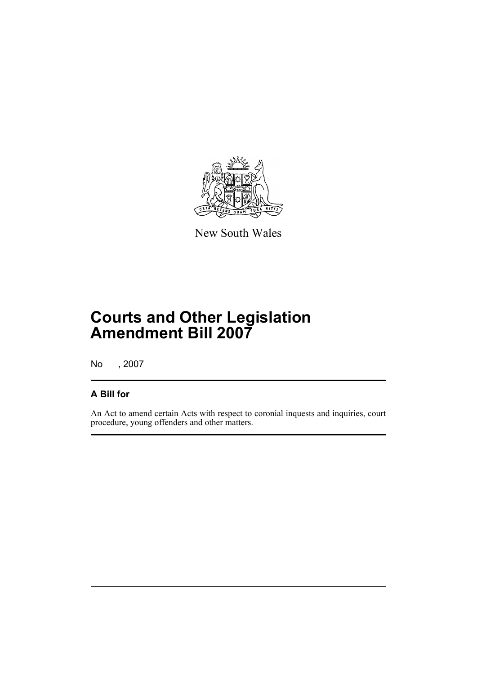

New South Wales

# **Courts and Other Legislation Amendment Bill 2007**

No , 2007

## **A Bill for**

An Act to amend certain Acts with respect to coronial inquests and inquiries, court procedure, young offenders and other matters.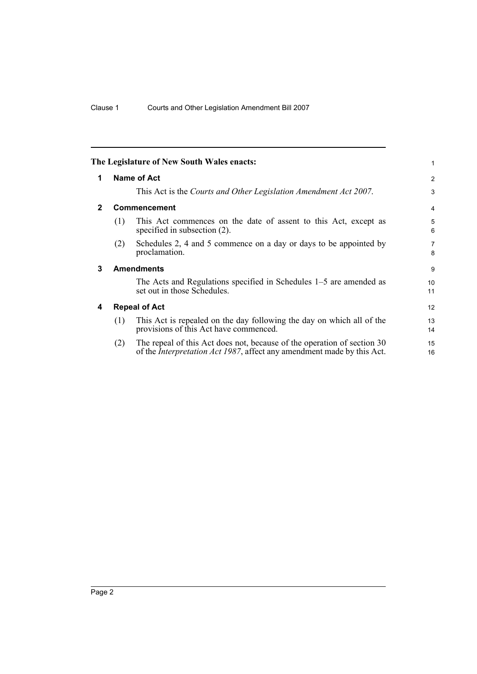<span id="page-11-3"></span><span id="page-11-2"></span><span id="page-11-1"></span><span id="page-11-0"></span>

|              |     | The Legislature of New South Wales enacts:                                                                                                                | 1                   |
|--------------|-----|-----------------------------------------------------------------------------------------------------------------------------------------------------------|---------------------|
| 1            |     | <b>Name of Act</b>                                                                                                                                        | 2                   |
|              |     | This Act is the Courts and Other Legislation Amendment Act 2007.                                                                                          | 3                   |
| $\mathbf{2}$ |     | Commencement                                                                                                                                              | 4                   |
|              | (1) | This Act commences on the date of assent to this Act, except as<br>specified in subsection $(2)$ .                                                        | 5<br>6              |
|              | (2) | Schedules 2, 4 and 5 commence on a day or days to be appointed by<br>proclamation.                                                                        | $\overline{7}$<br>8 |
| 3            |     | <b>Amendments</b>                                                                                                                                         | 9                   |
|              |     | The Acts and Regulations specified in Schedules 1–5 are amended as<br>set out in those Schedules.                                                         | 10<br>11            |
| 4            |     | <b>Repeal of Act</b>                                                                                                                                      | 12                  |
|              | (1) | This Act is repealed on the day following the day on which all of the<br>provisions of this Act have commenced.                                           | 13<br>14            |
|              | (2) | The repeal of this Act does not, because of the operation of section 30<br>of the <i>Interpretation Act 1987</i> , affect any amendment made by this Act. | 15<br>16            |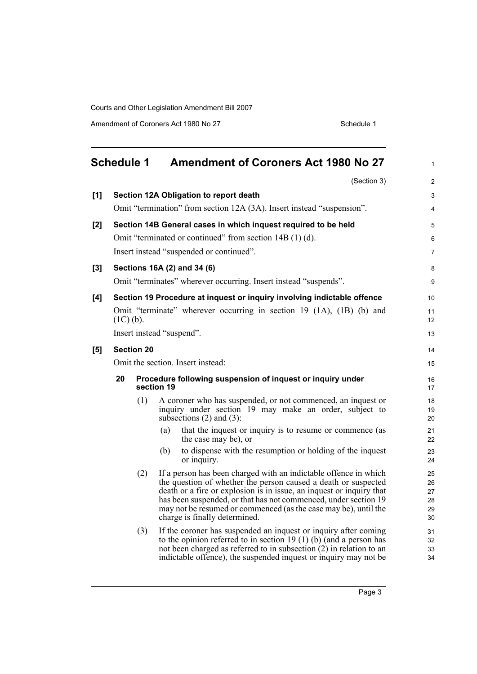Amendment of Coroners Act 1980 No 27 Schedule 1

<span id="page-12-0"></span>

|       | <b>Schedule 1</b>                 |     |            | Amendment of Coroners Act 1980 No 27                                                                                                                                                                                                                                                                                                                                              | $\mathbf{1}$                     |
|-------|-----------------------------------|-----|------------|-----------------------------------------------------------------------------------------------------------------------------------------------------------------------------------------------------------------------------------------------------------------------------------------------------------------------------------------------------------------------------------|----------------------------------|
|       |                                   |     |            | (Section 3)                                                                                                                                                                                                                                                                                                                                                                       | $\overline{2}$                   |
| [1]   |                                   |     |            | Section 12A Obligation to report death                                                                                                                                                                                                                                                                                                                                            | 3                                |
|       |                                   |     |            | Omit "termination" from section 12A (3A). Insert instead "suspension".                                                                                                                                                                                                                                                                                                            | 4                                |
| [2]   |                                   |     |            | Section 14B General cases in which inquest required to be held                                                                                                                                                                                                                                                                                                                    | 5                                |
|       |                                   |     |            | Omit "terminated or continued" from section 14B (1) (d).                                                                                                                                                                                                                                                                                                                          | 6                                |
|       |                                   |     |            | Insert instead "suspended or continued".                                                                                                                                                                                                                                                                                                                                          | $\overline{7}$                   |
| $[3]$ |                                   |     |            | Sections 16A (2) and 34 (6)                                                                                                                                                                                                                                                                                                                                                       | 8                                |
|       |                                   |     |            | Omit "terminates" wherever occurring. Insert instead "suspends".                                                                                                                                                                                                                                                                                                                  | 9                                |
| [4]   |                                   |     |            | Section 19 Procedure at inquest or inquiry involving indictable offence                                                                                                                                                                                                                                                                                                           | 10                               |
|       | $(1C)$ (b).                       |     |            | Omit "terminate" wherever occurring in section 19 (1A), (1B) (b) and                                                                                                                                                                                                                                                                                                              | 11<br>12                         |
|       | Insert instead "suspend".         |     |            |                                                                                                                                                                                                                                                                                                                                                                                   | 13                               |
| [5]   | <b>Section 20</b>                 |     |            |                                                                                                                                                                                                                                                                                                                                                                                   | 14                               |
|       | Omit the section. Insert instead: |     |            |                                                                                                                                                                                                                                                                                                                                                                                   |                                  |
|       | 20                                |     | section 19 | Procedure following suspension of inquest or inquiry under                                                                                                                                                                                                                                                                                                                        | 16<br>17                         |
|       |                                   | (1) |            | A coroner who has suspended, or not commenced, an inquest or<br>inquiry under section 19 may make an order, subject to<br>subsections $(2)$ and $(3)$ :                                                                                                                                                                                                                           | 18<br>19<br>20                   |
|       |                                   |     | (a)        | that the inquest or inquiry is to resume or commence (as<br>the case may be), or                                                                                                                                                                                                                                                                                                  | 21<br>22                         |
|       |                                   |     | (b)        | to dispense with the resumption or holding of the inquest<br>or inquiry.                                                                                                                                                                                                                                                                                                          | 23<br>24                         |
|       |                                   | (2) |            | If a person has been charged with an indictable offence in which<br>the question of whether the person caused a death or suspected<br>death or a fire or explosion is in issue, an inquest or inquiry that<br>has been suspended, or that has not commenced, under section 19<br>may not be resumed or commenced (as the case may be), until the<br>charge is finally determined. | 25<br>26<br>27<br>28<br>29<br>30 |
|       |                                   | (3) |            | If the coroner has suspended an inquest or inquiry after coming<br>to the opinion referred to in section 19 (1) (b) (and a person has<br>not been charged as referred to in subsection (2) in relation to an<br>indictable offence), the suspended inquest or inquiry may not be                                                                                                  | 31<br>32<br>33<br>34             |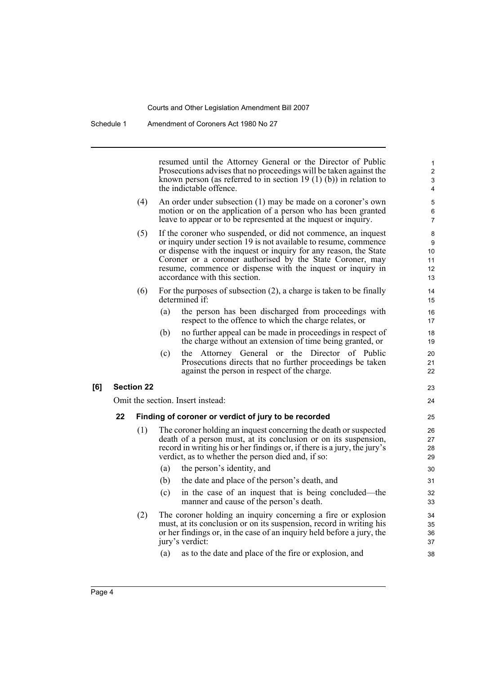resumed until the Attorney General or the Director of Public Prosecutions advises that no proceedings will be taken against the known person (as referred to in section 19 $(1)$  $(b)$ ) in relation to the indictable offence.

23  $24$ 

- (4) An order under subsection (1) may be made on a coroner's own motion or on the application of a person who has been granted leave to appear or to be represented at the inquest or inquiry.
- (5) If the coroner who suspended, or did not commence, an inquest or inquiry under section 19 is not available to resume, commence or dispense with the inquest or inquiry for any reason, the State Coroner or a coroner authorised by the State Coroner, may resume, commence or dispense with the inquest or inquiry in accordance with this section.
- (6) For the purposes of subsection (2), a charge is taken to be finally determined if:
	- (a) the person has been discharged from proceedings with respect to the offence to which the charge relates, or
	- (b) no further appeal can be made in proceedings in respect of the charge without an extension of time being granted, or
	- (c) the Attorney General or the Director of Public Prosecutions directs that no further proceedings be taken against the person in respect of the charge.

#### **[6] Section 22**

Omit the section. Insert instead:

#### **22 Finding of coroner or verdict of jury to be recorded**

- (1) The coroner holding an inquest concerning the death or suspected death of a person must, at its conclusion or on its suspension, record in writing his or her findings or, if there is a jury, the jury's verdict, as to whether the person died and, if so:
	- (a) the person's identity, and
	- (b) the date and place of the person's death, and
	- (c) in the case of an inquest that is being concluded—the manner and cause of the person's death.
- (2) The coroner holding an inquiry concerning a fire or explosion must, at its conclusion or on its suspension, record in writing his or her findings or, in the case of an inquiry held before a jury, the jury's verdict:
	- (a) as to the date and place of the fire or explosion, and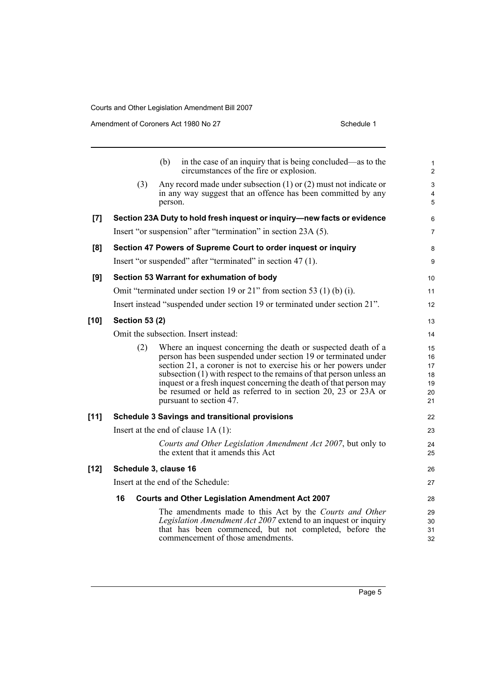Amendment of Coroners Act 1980 No 27 Schedule 1

|        |                       | in the case of an inquiry that is being concluded—as to the<br>(b)<br>circumstances of the fire or explosion.                                                                                                                                                                                                                                                                                                                                    | 1<br>$\overline{c}$                    |
|--------|-----------------------|--------------------------------------------------------------------------------------------------------------------------------------------------------------------------------------------------------------------------------------------------------------------------------------------------------------------------------------------------------------------------------------------------------------------------------------------------|----------------------------------------|
|        | (3)                   | Any record made under subsection $(1)$ or $(2)$ must not indicate or<br>in any way suggest that an offence has been committed by any<br>person.                                                                                                                                                                                                                                                                                                  | 3<br>4<br>5                            |
| [7]    |                       | Section 23A Duty to hold fresh inquest or inquiry-new facts or evidence                                                                                                                                                                                                                                                                                                                                                                          | 6                                      |
|        |                       | Insert "or suspension" after "termination" in section 23A (5).                                                                                                                                                                                                                                                                                                                                                                                   | 7                                      |
| [8]    |                       | Section 47 Powers of Supreme Court to order inquest or inquiry                                                                                                                                                                                                                                                                                                                                                                                   | 8                                      |
|        |                       | Insert "or suspended" after "terminated" in section 47 (1).                                                                                                                                                                                                                                                                                                                                                                                      | 9                                      |
| [9]    |                       | Section 53 Warrant for exhumation of body                                                                                                                                                                                                                                                                                                                                                                                                        | 10                                     |
|        |                       | Omit "terminated under section 19 or 21" from section 53 (1) (b) (i).                                                                                                                                                                                                                                                                                                                                                                            | 11                                     |
|        |                       | Insert instead "suspended under section 19 or terminated under section 21".                                                                                                                                                                                                                                                                                                                                                                      | 12                                     |
| $[10]$ | <b>Section 53 (2)</b> |                                                                                                                                                                                                                                                                                                                                                                                                                                                  | 13                                     |
|        |                       | Omit the subsection. Insert instead:                                                                                                                                                                                                                                                                                                                                                                                                             | 14                                     |
|        | (2)                   | Where an inquest concerning the death or suspected death of a<br>person has been suspended under section 19 or terminated under<br>section 21, a coroner is not to exercise his or her powers under<br>subsection (1) with respect to the remains of that person unless an<br>inquest or a fresh inquest concerning the death of that person may<br>be resumed or held as referred to in section 20, $23$ or $23A$ or<br>pursuant to section 47. | 15<br>16<br>17<br>18<br>19<br>20<br>21 |
| $[11]$ |                       | <b>Schedule 3 Savings and transitional provisions</b>                                                                                                                                                                                                                                                                                                                                                                                            | 22                                     |
|        |                       | Insert at the end of clause $1A(1)$ :                                                                                                                                                                                                                                                                                                                                                                                                            | 23                                     |
|        |                       | Courts and Other Legislation Amendment Act 2007, but only to<br>the extent that it amends this Act                                                                                                                                                                                                                                                                                                                                               | 24<br>25                               |
| $[12]$ |                       | Schedule 3, clause 16                                                                                                                                                                                                                                                                                                                                                                                                                            | 26                                     |
|        |                       | Insert at the end of the Schedule:                                                                                                                                                                                                                                                                                                                                                                                                               | 27                                     |
|        | 16                    | <b>Courts and Other Legislation Amendment Act 2007</b>                                                                                                                                                                                                                                                                                                                                                                                           | 28                                     |
|        |                       | The amendments made to this Act by the Courts and Other<br>Legislation Amendment Act 2007 extend to an inquest or inquiry<br>that has been commenced, but not completed, before the<br>commencement of those amendments.                                                                                                                                                                                                                         | 29<br>30<br>31<br>32                   |
|        |                       |                                                                                                                                                                                                                                                                                                                                                                                                                                                  |                                        |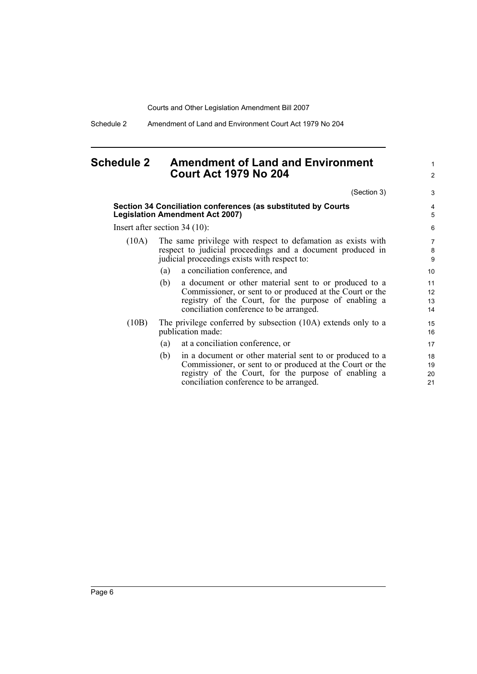Schedule 2 Amendment of Land and Environment Court Act 1979 No 204

## <span id="page-15-0"></span>**Schedule 2 Amendment of Land and Environment Court Act 1979 No 204**

(Section 3)

1 2

3

|                                 | Section 34 Conciliation conferences (as substituted by Courts<br><b>Legislation Amendment Act 2007)</b>                                                                                                                        | 4<br>5               |  |  |
|---------------------------------|--------------------------------------------------------------------------------------------------------------------------------------------------------------------------------------------------------------------------------|----------------------|--|--|
| Insert after section $34(10)$ : |                                                                                                                                                                                                                                |                      |  |  |
| (10A)                           | The same privilege with respect to defamation as exists with<br>respect to judicial proceedings and a document produced in<br>judicial proceedings exists with respect to:                                                     | 7<br>8<br>9          |  |  |
|                                 | a conciliation conference, and<br>(a)                                                                                                                                                                                          | 10                   |  |  |
|                                 | a document or other material sent to or produced to a<br>(b)<br>Commissioner, or sent to or produced at the Court or the<br>registry of the Court, for the purpose of enabling a<br>conciliation conference to be arranged.    | 11<br>12<br>13<br>14 |  |  |
| (10B)                           | The privilege conferred by subsection (10A) extends only to a<br>publication made:                                                                                                                                             | 15<br>16             |  |  |
|                                 | at a conciliation conference, or<br>(a)                                                                                                                                                                                        | 17                   |  |  |
|                                 | in a document or other material sent to or produced to a<br>(b)<br>Commissioner, or sent to or produced at the Court or the<br>registry of the Court, for the purpose of enabling a<br>conciliation conference to be arranged. | 18<br>19<br>20<br>21 |  |  |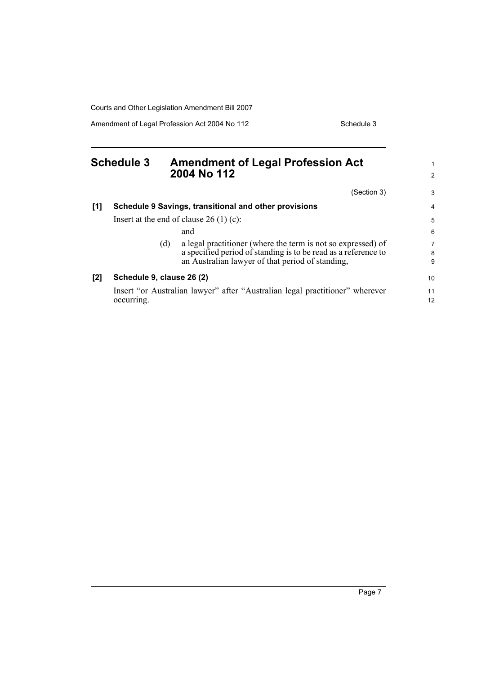Amendment of Legal Profession Act 2004 No 112 Schedule 3

<span id="page-16-0"></span>

|     | <b>Schedule 3</b>         |     | <b>Amendment of Legal Profession Act</b><br>2004 No 112                                                                                                                            |                          |
|-----|---------------------------|-----|------------------------------------------------------------------------------------------------------------------------------------------------------------------------------------|--------------------------|
|     |                           |     | (Section 3)                                                                                                                                                                        | 3                        |
| [1] |                           |     | Schedule 9 Savings, transitional and other provisions                                                                                                                              | 4                        |
|     |                           |     | Insert at the end of clause $26(1)(c)$ :                                                                                                                                           | 5                        |
|     |                           |     | and                                                                                                                                                                                | 6                        |
|     |                           | (d) | a legal practitioner (where the term is not so expressed) of<br>a specified period of standing is to be read as a reference to<br>an Australian lawyer of that period of standing, | $\overline{7}$<br>8<br>9 |
| [2] | Schedule 9, clause 26 (2) |     |                                                                                                                                                                                    | 10                       |
|     | occurring.                |     | Insert "or Australian lawyer" after "Australian legal practitioner" wherever                                                                                                       | 11<br>$12 \overline{ }$  |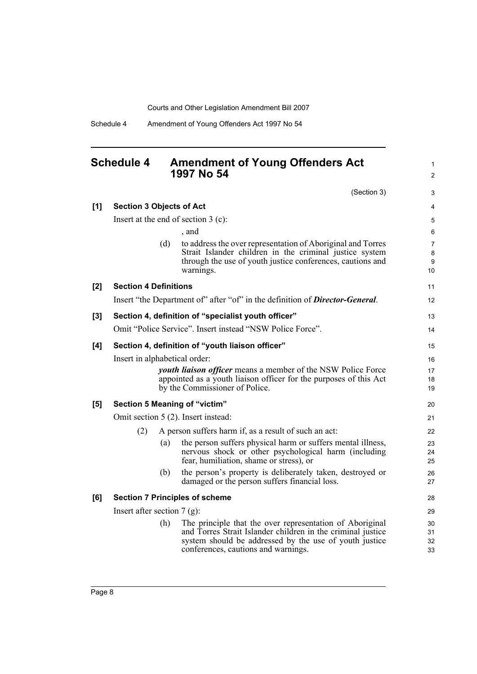Schedule 4 Amendment of Young Offenders Act 1997 No 54

## <span id="page-17-0"></span>**Schedule 4 Amendment of Young Offenders Act 1997 No 54**

(Section 3)

1 2

|       |                                 |     | (Section 3)                                                                                                           | 3            |  |
|-------|---------------------------------|-----|-----------------------------------------------------------------------------------------------------------------------|--------------|--|
| [1]   | <b>Section 3 Objects of Act</b> |     |                                                                                                                       | 4            |  |
|       |                                 |     | Insert at the end of section $3$ (c):                                                                                 | $\mathbf 5$  |  |
|       |                                 |     | , and                                                                                                                 | 6            |  |
|       |                                 | (d) | to address the over representation of Aboriginal and Torres                                                           | 7            |  |
|       |                                 |     | Strait Islander children in the criminal justice system<br>through the use of youth justice conferences, cautions and | $\bf 8$<br>9 |  |
|       |                                 |     | warnings.                                                                                                             | 10           |  |
| [2]   | <b>Section 4 Definitions</b>    |     |                                                                                                                       | 11           |  |
|       |                                 |     | Insert "the Department of" after "of" in the definition of Director-General.                                          | 12           |  |
| $[3]$ |                                 |     | Section 4, definition of "specialist youth officer"                                                                   | 13           |  |
|       |                                 |     | Omit "Police Service". Insert instead "NSW Police Force".                                                             | 14           |  |
| [4]   |                                 |     | Section 4, definition of "youth liaison officer"                                                                      | 15           |  |
|       | Insert in alphabetical order:   |     |                                                                                                                       |              |  |
|       |                                 |     | <i>youth liaison officer</i> means a member of the NSW Police Force                                                   | 17           |  |
|       |                                 |     | appointed as a youth liaison officer for the purposes of this Act<br>by the Commissioner of Police.                   | 18<br>19     |  |
| [5]   |                                 |     | Section 5 Meaning of "victim"                                                                                         | 20           |  |
|       |                                 |     | Omit section 5 (2). Insert instead:                                                                                   | 21           |  |
|       | (2)                             |     | A person suffers harm if, as a result of such an act:                                                                 | 22           |  |
|       |                                 | (a) | the person suffers physical harm or suffers mental illness,                                                           | 23           |  |
|       |                                 |     | nervous shock or other psychological harm (including<br>fear, humiliation, shame or stress), or                       | 24<br>25     |  |
|       |                                 | (b) | the person's property is deliberately taken, destroyed or                                                             | 26           |  |
|       |                                 |     | damaged or the person suffers financial loss.                                                                         | 27           |  |
| [6]   |                                 |     | <b>Section 7 Principles of scheme</b>                                                                                 | 28           |  |
|       | Insert after section $7(g)$ :   |     |                                                                                                                       | 29           |  |
|       |                                 | (h) | The principle that the over representation of Aboriginal                                                              | 30           |  |
|       |                                 |     | and Torres Strait Islander children in the criminal justice<br>system should be addressed by the use of youth justice | 31<br>32     |  |
|       |                                 |     | conferences, cautions and warnings.                                                                                   | 33           |  |
|       |                                 |     |                                                                                                                       |              |  |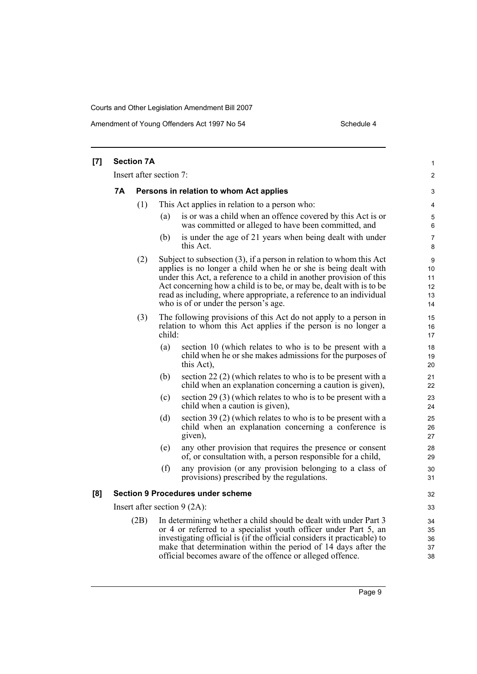Amendment of Young Offenders Act 1997 No 54 Schedule 4

| [7] | <b>Section 7A</b>              |      |                                                                                                                                                                                                                                                                                                                                                                                                       |                                 |
|-----|--------------------------------|------|-------------------------------------------------------------------------------------------------------------------------------------------------------------------------------------------------------------------------------------------------------------------------------------------------------------------------------------------------------------------------------------------------------|---------------------------------|
|     |                                |      | Insert after section 7:                                                                                                                                                                                                                                                                                                                                                                               | $\overline{c}$                  |
|     | 7Α                             |      | Persons in relation to whom Act applies                                                                                                                                                                                                                                                                                                                                                               | 3                               |
|     |                                | (1)  | This Act applies in relation to a person who:                                                                                                                                                                                                                                                                                                                                                         | 4                               |
|     |                                |      | is or was a child when an offence covered by this Act is or<br>(a)<br>was committed or alleged to have been committed, and                                                                                                                                                                                                                                                                            | 5<br>6                          |
|     |                                |      | is under the age of 21 years when being dealt with under<br>(b)<br>this Act.                                                                                                                                                                                                                                                                                                                          | 7<br>8                          |
|     |                                | (2)  | Subject to subsection $(3)$ , if a person in relation to whom this Act<br>applies is no longer a child when he or she is being dealt with<br>under this Act, a reference to a child in another provision of this<br>Act concerning how a child is to be, or may be, dealt with is to be<br>read as including, where appropriate, a reference to an individual<br>who is of or under the person's age. | 9<br>10<br>11<br>12<br>13<br>14 |
|     |                                | (3)  | The following provisions of this Act do not apply to a person in<br>relation to whom this Act applies if the person is no longer a<br>child:                                                                                                                                                                                                                                                          | 15<br>16<br>17                  |
|     |                                |      | (a)<br>section 10 (which relates to who is to be present with a<br>child when he or she makes admissions for the purposes of<br>this Act),                                                                                                                                                                                                                                                            | 18<br>19<br>20                  |
|     |                                |      | (b)<br>section 22 $(2)$ (which relates to who is to be present with a<br>child when an explanation concerning a caution is given),                                                                                                                                                                                                                                                                    | 21<br>22                        |
|     |                                |      | section 29 (3) (which relates to who is to be present with a<br>(c)<br>child when a caution is given),                                                                                                                                                                                                                                                                                                | 23<br>24                        |
|     |                                |      | section 39 (2) (which relates to who is to be present with a<br>(d)<br>child when an explanation concerning a conference is<br>given),                                                                                                                                                                                                                                                                | 25<br>26<br>27                  |
|     |                                |      | any other provision that requires the presence or consent<br>(e)<br>of, or consultation with, a person responsible for a child,                                                                                                                                                                                                                                                                       | 28<br>29                        |
|     |                                |      | any provision (or any provision belonging to a class of<br>(f)<br>provisions) prescribed by the regulations.                                                                                                                                                                                                                                                                                          | 30<br>31                        |
| [8] |                                |      | <b>Section 9 Procedures under scheme</b>                                                                                                                                                                                                                                                                                                                                                              | 32                              |
|     | Insert after section $9(2A)$ : |      |                                                                                                                                                                                                                                                                                                                                                                                                       |                                 |
|     |                                | (2B) | In determining whether a child should be dealt with under Part 3<br>or 4 or referred to a specialist youth officer under Part 5, an<br>investigating official is (if the official considers it practicable) to<br>make that determination within the period of 14 days after the<br>official becomes aware of the offence or alleged offence.                                                         | 34<br>35<br>36<br>37<br>38      |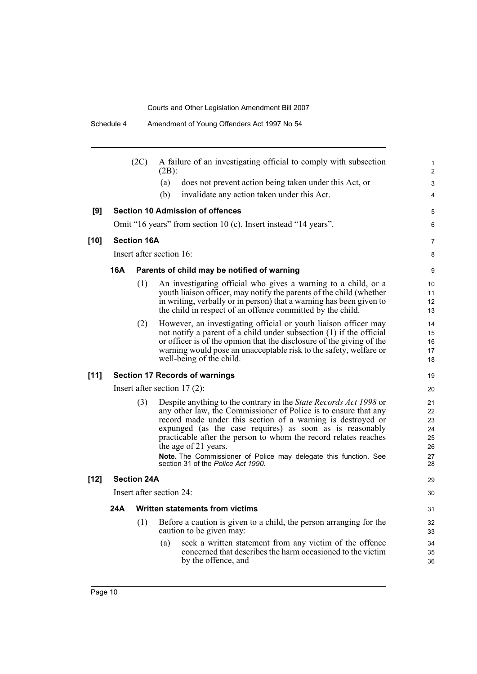|        |            | (2C)               | A failure of an investigating official to comply with subsection<br>$(2B)$ :                                                                                                                                                                                                                                                                                                                                                                                                | 1<br>$\overline{2}$                          |
|--------|------------|--------------------|-----------------------------------------------------------------------------------------------------------------------------------------------------------------------------------------------------------------------------------------------------------------------------------------------------------------------------------------------------------------------------------------------------------------------------------------------------------------------------|----------------------------------------------|
|        |            |                    | does not prevent action being taken under this Act, or<br>(a)                                                                                                                                                                                                                                                                                                                                                                                                               | 3                                            |
|        |            |                    | (b)<br>invalidate any action taken under this Act.                                                                                                                                                                                                                                                                                                                                                                                                                          | 4                                            |
| [9]    |            |                    | <b>Section 10 Admission of offences</b>                                                                                                                                                                                                                                                                                                                                                                                                                                     | 5                                            |
|        |            |                    | Omit "16 years" from section 10 (c). Insert instead "14 years".                                                                                                                                                                                                                                                                                                                                                                                                             | 6                                            |
| $[10]$ |            | <b>Section 16A</b> |                                                                                                                                                                                                                                                                                                                                                                                                                                                                             | 7                                            |
|        |            |                    | Insert after section 16:                                                                                                                                                                                                                                                                                                                                                                                                                                                    | 8                                            |
|        | <b>16A</b> |                    | Parents of child may be notified of warning                                                                                                                                                                                                                                                                                                                                                                                                                                 | 9                                            |
|        |            | (1)                | An investigating official who gives a warning to a child, or a<br>youth liaison officer, may notify the parents of the child (whether<br>in writing, verbally or in person) that a warning has been given to<br>the child in respect of an offence committed by the child.                                                                                                                                                                                                  | 10<br>11<br>12<br>13                         |
|        |            | (2)                | However, an investigating official or youth liaison officer may<br>not notify a parent of a child under subsection (1) if the official<br>or officer is of the opinion that the disclosure of the giving of the<br>warning would pose an unacceptable risk to the safety, welfare or<br>well-being of the child.                                                                                                                                                            | 14<br>15<br>16<br>17<br>18                   |
| $[11]$ |            |                    | <b>Section 17 Records of warnings</b>                                                                                                                                                                                                                                                                                                                                                                                                                                       | 19                                           |
|        |            |                    | Insert after section $17(2)$ :                                                                                                                                                                                                                                                                                                                                                                                                                                              | 20                                           |
|        |            | (3)                | Despite anything to the contrary in the <i>State Records Act 1998</i> or<br>any other law, the Commissioner of Police is to ensure that any<br>record made under this section of a warning is destroyed or<br>expunged (as the case requires) as soon as is reasonably<br>practicable after the person to whom the record relates reaches<br>the age of 21 years.<br>Note. The Commissioner of Police may delegate this function. See<br>section 31 of the Police Act 1990. | 21<br>22<br>23<br>24<br>25<br>26<br>27<br>28 |
| $[12]$ |            | <b>Section 24A</b> |                                                                                                                                                                                                                                                                                                                                                                                                                                                                             | 29                                           |
|        |            |                    | Insert after section 24:                                                                                                                                                                                                                                                                                                                                                                                                                                                    | 30                                           |
|        | 24A        |                    | Written statements from victims                                                                                                                                                                                                                                                                                                                                                                                                                                             | 31                                           |
|        |            | (1)                | Before a caution is given to a child, the person arranging for the<br>caution to be given may:                                                                                                                                                                                                                                                                                                                                                                              | 32<br>33                                     |
|        |            |                    | seek a written statement from any victim of the offence<br>(a)<br>concerned that describes the harm occasioned to the victim<br>by the offence, and                                                                                                                                                                                                                                                                                                                         | 34<br>35<br>36                               |
|        |            |                    |                                                                                                                                                                                                                                                                                                                                                                                                                                                                             |                                              |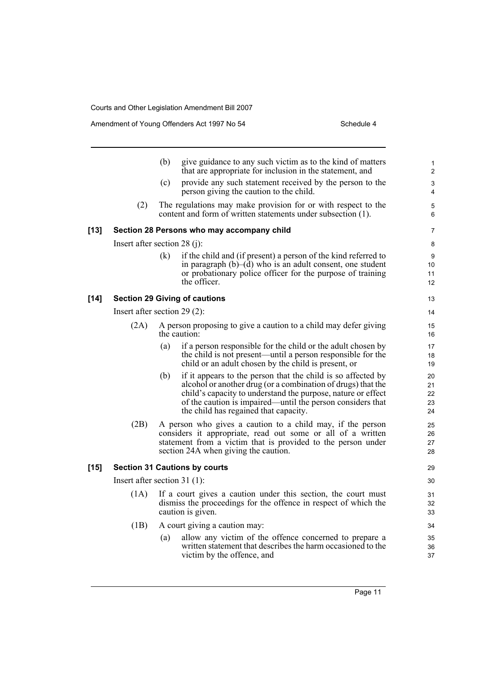$[14]$ 

 $[15]$ 

|        |                                | (b) | give guidance to any such victim as to the kind of matters<br>that are appropriate for inclusion in the statement, and                                                                                                                                                                              | 1<br>$\overline{2}$        |
|--------|--------------------------------|-----|-----------------------------------------------------------------------------------------------------------------------------------------------------------------------------------------------------------------------------------------------------------------------------------------------------|----------------------------|
|        |                                | (c) | provide any such statement received by the person to the<br>person giving the caution to the child.                                                                                                                                                                                                 | 3<br>$\overline{4}$        |
|        | (2)                            |     | The regulations may make provision for or with respect to the<br>content and form of written statements under subsection (1).                                                                                                                                                                       | 5<br>6                     |
| [13]   |                                |     | Section 28 Persons who may accompany child                                                                                                                                                                                                                                                          | 7                          |
|        | Insert after section 28 (j):   |     |                                                                                                                                                                                                                                                                                                     | 8                          |
|        |                                | (k) | if the child and (if present) a person of the kind referred to<br>in paragraph $(b)$ – $(d)$ who is an adult consent, one student<br>or probationary police officer for the purpose of training<br>the officer.                                                                                     | 9<br>10<br>11<br>12        |
| [14]   |                                |     | <b>Section 29 Giving of cautions</b>                                                                                                                                                                                                                                                                | 13                         |
|        | Insert after section $29(2)$ : |     |                                                                                                                                                                                                                                                                                                     | 14                         |
|        | (2A)                           |     | A person proposing to give a caution to a child may defer giving<br>the caution:                                                                                                                                                                                                                    | 15<br>16                   |
|        |                                | (a) | if a person responsible for the child or the adult chosen by<br>the child is not present—until a person responsible for the<br>child or an adult chosen by the child is present, or                                                                                                                 | 17<br>18<br>19             |
|        |                                | (b) | if it appears to the person that the child is so affected by<br>alcohol or another drug (or a combination of drugs) that the<br>child's capacity to understand the purpose, nature or effect<br>of the caution is impaired—until the person considers that<br>the child has regained that capacity. | 20<br>21<br>22<br>23<br>24 |
|        | (2B)                           |     | A person who gives a caution to a child may, if the person<br>considers it appropriate, read out some or all of a written<br>statement from a victim that is provided to the person under<br>section 24A when giving the caution.                                                                   | 25<br>26<br>27<br>28       |
| $[15]$ |                                |     | <b>Section 31 Cautions by courts</b>                                                                                                                                                                                                                                                                | 29                         |
|        | Insert after section $31(1)$ : |     |                                                                                                                                                                                                                                                                                                     | 30                         |
|        | (1A)                           |     | If a court gives a caution under this section, the court must<br>dismiss the proceedings for the offence in respect of which the<br>caution is given.                                                                                                                                               | 31<br>32<br>33             |
|        | (1B)                           |     | A court giving a caution may:                                                                                                                                                                                                                                                                       | 34                         |
|        |                                | (a) | allow any victim of the offence concerned to prepare a<br>written statement that describes the harm occasioned to the<br>victim by the offence, and                                                                                                                                                 | 35<br>36<br>37             |
|        |                                |     |                                                                                                                                                                                                                                                                                                     |                            |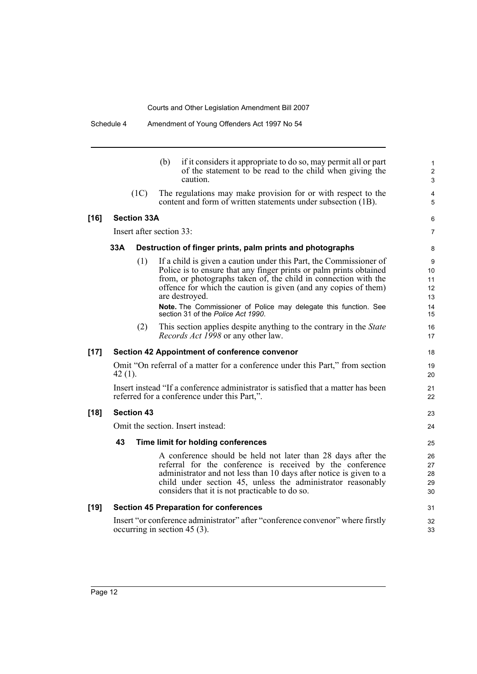|        |           |                    | if it considers it appropriate to do so, may permit all or part<br>(b)<br>of the statement to be read to the child when giving the<br>caution.                                                                                                                                                                                                                                                             | 1<br>$\overline{\mathbf{c}}$<br>3     |
|--------|-----------|--------------------|------------------------------------------------------------------------------------------------------------------------------------------------------------------------------------------------------------------------------------------------------------------------------------------------------------------------------------------------------------------------------------------------------------|---------------------------------------|
|        |           | (1C)               | The regulations may make provision for or with respect to the<br>content and form of written statements under subsection (1B).                                                                                                                                                                                                                                                                             | 4<br>5                                |
| $[16]$ |           | <b>Section 33A</b> |                                                                                                                                                                                                                                                                                                                                                                                                            | 6                                     |
|        |           |                    | Insert after section 33:                                                                                                                                                                                                                                                                                                                                                                                   | 7                                     |
|        | 33A       |                    | Destruction of finger prints, palm prints and photographs                                                                                                                                                                                                                                                                                                                                                  | 8                                     |
|        |           | (1)                | If a child is given a caution under this Part, the Commissioner of<br>Police is to ensure that any finger prints or palm prints obtained<br>from, or photographs taken of, the child in connection with the<br>offence for which the caution is given (and any copies of them)<br>are destroyed.<br>Note. The Commissioner of Police may delegate this function. See<br>section 31 of the Police Act 1990. | 9<br>10<br>11<br>12<br>13<br>14<br>15 |
|        |           | (2)                | This section applies despite anything to the contrary in the <i>State</i><br>Records Act 1998 or any other law.                                                                                                                                                                                                                                                                                            | 16<br>17                              |
| $[17]$ |           |                    | <b>Section 42 Appointment of conference convenor</b>                                                                                                                                                                                                                                                                                                                                                       | 18                                    |
|        | $42(1)$ . |                    | Omit "On referral of a matter for a conference under this Part," from section                                                                                                                                                                                                                                                                                                                              | 19<br>20                              |
|        |           |                    | Insert instead "If a conference administrator is satisfied that a matter has been<br>referred for a conference under this Part,".                                                                                                                                                                                                                                                                          | 21<br>22                              |
| $[18]$ |           | <b>Section 43</b>  |                                                                                                                                                                                                                                                                                                                                                                                                            | 23                                    |
|        |           |                    | Omit the section. Insert instead:                                                                                                                                                                                                                                                                                                                                                                          | 24                                    |
|        | 43        |                    | Time limit for holding conferences                                                                                                                                                                                                                                                                                                                                                                         | 25                                    |
|        |           |                    | A conference should be held not later than 28 days after the<br>referral for the conference is received by the conference<br>administrator and not less than 10 days after notice is given to a<br>child under section 45, unless the administrator reasonably<br>considers that it is not practicable to do so.                                                                                           | 26<br>27<br>28<br>29<br>30            |
| $[19]$ |           |                    | <b>Section 45 Preparation for conferences</b>                                                                                                                                                                                                                                                                                                                                                              | 31                                    |
|        |           |                    | Insert "or conference administrator" after "conference convenor" where firstly<br>occurring in section 45 $(3)$ .                                                                                                                                                                                                                                                                                          | 32<br>33                              |
|        |           |                    |                                                                                                                                                                                                                                                                                                                                                                                                            |                                       |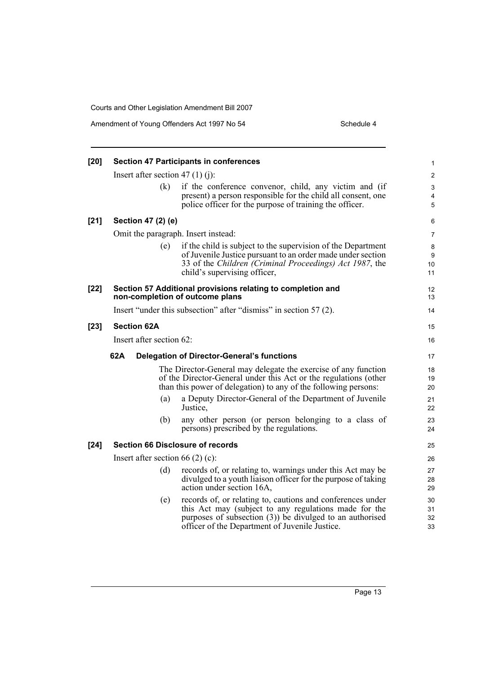| $[20]$ |                                    | <b>Section 47 Participants in conferences</b>                                                                                                                                                                                        | 1                    |
|--------|------------------------------------|--------------------------------------------------------------------------------------------------------------------------------------------------------------------------------------------------------------------------------------|----------------------|
|        | Insert after section 47 (1) (j):   |                                                                                                                                                                                                                                      | $\overline{2}$       |
|        | (k)                                | if the conference convenor, child, any victim and (if<br>present) a person responsible for the child all consent, one<br>police officer for the purpose of training the officer.                                                     | 3<br>4<br>5          |
| $[21]$ | Section 47 (2) (e)                 |                                                                                                                                                                                                                                      | 6                    |
|        |                                    | Omit the paragraph. Insert instead:                                                                                                                                                                                                  | $\overline{7}$       |
|        | (e)                                | if the child is subject to the supervision of the Department<br>of Juvenile Justice pursuant to an order made under section<br>33 of the Children (Criminal Proceedings) Act 1987, the<br>child's supervising officer,               | 8<br>9<br>10<br>11   |
| $[22]$ |                                    | Section 57 Additional provisions relating to completion and<br>non-completion of outcome plans                                                                                                                                       | 12<br>13             |
|        |                                    | Insert "under this subsection" after "dismiss" in section 57 (2).                                                                                                                                                                    | 14                   |
| $[23]$ | <b>Section 62A</b>                 |                                                                                                                                                                                                                                      | 15                   |
|        | Insert after section 62:           |                                                                                                                                                                                                                                      | 16                   |
|        | 62A                                | <b>Delegation of Director-General's functions</b>                                                                                                                                                                                    | 17                   |
|        |                                    | The Director-General may delegate the exercise of any function<br>of the Director-General under this Act or the regulations (other<br>than this power of delegation) to any of the following persons:                                | 18<br>19<br>20       |
|        | (a)                                | a Deputy Director-General of the Department of Juvenile<br>Justice,                                                                                                                                                                  | 21<br>22             |
|        | (b)                                | any other person (or person belonging to a class of<br>persons) prescribed by the regulations.                                                                                                                                       | 23<br>24             |
| $[24]$ |                                    | <b>Section 66 Disclosure of records</b>                                                                                                                                                                                              | 25                   |
|        | Insert after section 66 $(2)$ (c): |                                                                                                                                                                                                                                      | 26                   |
|        | (d)                                | records of, or relating to, warnings under this Act may be<br>divulged to a youth liaison officer for the purpose of taking<br>action under section 16A,                                                                             | 27<br>28<br>29       |
|        | (e)                                | records of, or relating to, cautions and conferences under<br>this Act may (subject to any regulations made for the<br>purposes of subsection $(3)$ ) be divulged to an authorised<br>officer of the Department of Juvenile Justice. | 30<br>31<br>32<br>33 |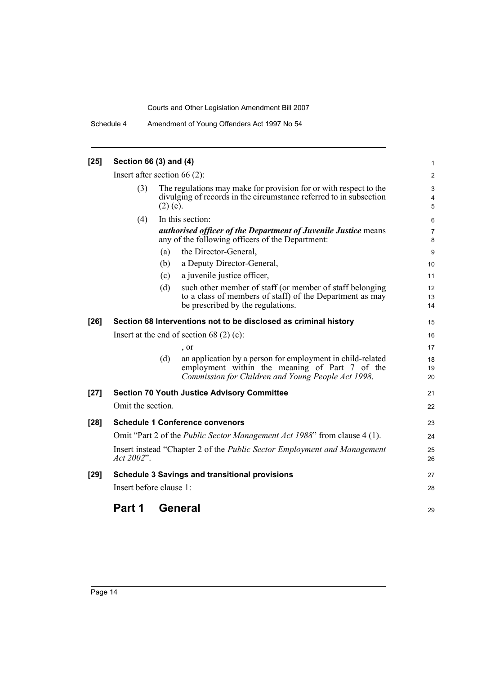Schedule 4 Amendment of Young Offenders Act 1997 No 54

| $[25]$ | Section 66 (3) and (4)                                                                                                                                                                         |     |                                                                                                                                                                    | 1              |
|--------|------------------------------------------------------------------------------------------------------------------------------------------------------------------------------------------------|-----|--------------------------------------------------------------------------------------------------------------------------------------------------------------------|----------------|
|        |                                                                                                                                                                                                |     |                                                                                                                                                                    | $\overline{2}$ |
|        | Insert after section $66(2)$ :<br>The regulations may make for provision for or with respect to the<br>(3)<br>divulging of records in the circumstance referred to in subsection<br>$(2)$ (e). |     |                                                                                                                                                                    | 3<br>4<br>5    |
|        | (4)                                                                                                                                                                                            |     | In this section:<br>authorised officer of the Department of Juvenile Justice means<br>any of the following officers of the Department:                             | 6<br>7<br>8    |
|        |                                                                                                                                                                                                | (a) | the Director-General,                                                                                                                                              | 9              |
|        |                                                                                                                                                                                                | (b) | a Deputy Director-General,                                                                                                                                         | 10             |
|        |                                                                                                                                                                                                | (c) | a juvenile justice officer,                                                                                                                                        | 11             |
|        |                                                                                                                                                                                                | (d) | such other member of staff (or member of staff belonging<br>to a class of members of staff) of the Department as may<br>be prescribed by the regulations.          | 12<br>13<br>14 |
| $[26]$ |                                                                                                                                                                                                |     | Section 68 Interventions not to be disclosed as criminal history                                                                                                   | 15             |
|        | Insert at the end of section 68 $(2)$ (c):                                                                                                                                                     |     |                                                                                                                                                                    |                |
|        |                                                                                                                                                                                                |     | $\cdot$ or                                                                                                                                                         | 17             |
|        |                                                                                                                                                                                                | (d) | an application by a person for employment in child-related<br>employment within the meaning of Part 7 of the<br>Commission for Children and Young People Act 1998. | 18<br>19<br>20 |
| $[27]$ |                                                                                                                                                                                                |     | <b>Section 70 Youth Justice Advisory Committee</b>                                                                                                                 | 21             |
|        | Omit the section.                                                                                                                                                                              |     |                                                                                                                                                                    | 22             |
| $[28]$ |                                                                                                                                                                                                |     | <b>Schedule 1 Conference convenors</b>                                                                                                                             | 23             |
|        |                                                                                                                                                                                                |     | Omit "Part 2 of the <i>Public Sector Management Act 1988</i> " from clause 4 (1).                                                                                  | 24             |
|        | Act 2002".                                                                                                                                                                                     |     | Insert instead "Chapter 2 of the <i>Public Sector Employment and Management</i>                                                                                    | 25<br>26       |
| $[29]$ |                                                                                                                                                                                                |     | <b>Schedule 3 Savings and transitional provisions</b>                                                                                                              | 27             |
|        | Insert before clause 1:                                                                                                                                                                        |     |                                                                                                                                                                    | 28             |
|        | Part 1                                                                                                                                                                                         |     | General                                                                                                                                                            | 29             |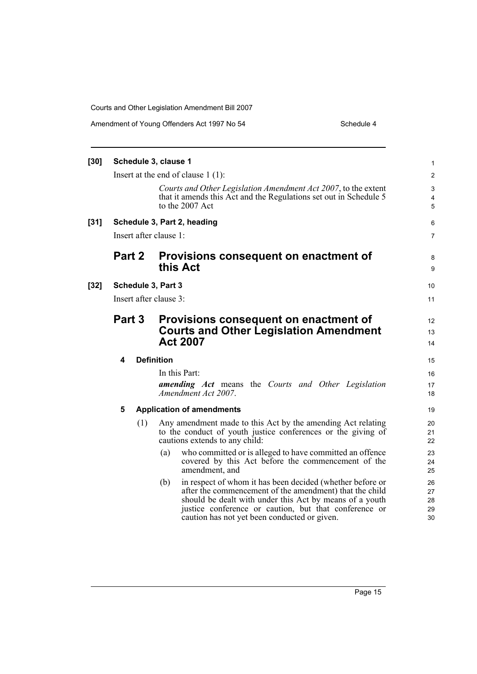| Amendment of Young Offenders Act 1997 No 54 | Schedule 4 |
|---------------------------------------------|------------|
|---------------------------------------------|------------|

| $[30]$ |                        |     | Schedule 3, clause 1                                                                                      |                                                                                                                                                                                                                                                                                          | 1                          |
|--------|------------------------|-----|-----------------------------------------------------------------------------------------------------------|------------------------------------------------------------------------------------------------------------------------------------------------------------------------------------------------------------------------------------------------------------------------------------------|----------------------------|
|        |                        |     |                                                                                                           | Insert at the end of clause $1(1)$ :                                                                                                                                                                                                                                                     | 2                          |
|        |                        |     |                                                                                                           | Courts and Other Legislation Amendment Act 2007, to the extent<br>that it amends this Act and the Regulations set out in Schedule 5<br>to the 2007 Act                                                                                                                                   | 3<br>4<br>5                |
| $[31]$ |                        |     |                                                                                                           | Schedule 3, Part 2, heading                                                                                                                                                                                                                                                              | 6                          |
|        | Insert after clause 1: |     |                                                                                                           |                                                                                                                                                                                                                                                                                          |                            |
|        | Part 2                 |     | Provisions consequent on enactment of<br>this Act                                                         |                                                                                                                                                                                                                                                                                          | 8<br>9                     |
| $[32]$ | Schedule 3, Part 3     |     |                                                                                                           |                                                                                                                                                                                                                                                                                          | 10                         |
|        |                        |     | Insert after clause 3:                                                                                    |                                                                                                                                                                                                                                                                                          | 11                         |
|        | Part 3                 |     | Provisions consequent on enactment of<br><b>Courts and Other Legislation Amendment</b><br><b>Act 2007</b> |                                                                                                                                                                                                                                                                                          | 12<br>13<br>14             |
|        | 4                      |     | <b>Definition</b>                                                                                         |                                                                                                                                                                                                                                                                                          |                            |
|        |                        |     |                                                                                                           | In this Part:<br><b>amending Act</b> means the Courts and Other Legislation<br>Amendment Act 2007.                                                                                                                                                                                       | 16<br>17<br>18             |
|        | 5                      |     | <b>Application of amendments</b>                                                                          |                                                                                                                                                                                                                                                                                          | 19                         |
|        |                        | (1) |                                                                                                           | Any amendment made to this Act by the amending Act relating<br>to the conduct of youth justice conferences or the giving of<br>cautions extends to any child:                                                                                                                            | 20<br>21<br>22             |
|        |                        |     | (a)                                                                                                       | who committed or is alleged to have committed an offence<br>covered by this Act before the commencement of the<br>amendment, and                                                                                                                                                         | 23<br>24<br>25             |
|        |                        |     | (b)                                                                                                       | in respect of whom it has been decided (whether before or<br>after the commencement of the amendment) that the child<br>should be dealt with under this Act by means of a youth<br>justice conference or caution, but that conference or<br>caution has not yet been conducted or given. | 26<br>27<br>28<br>29<br>30 |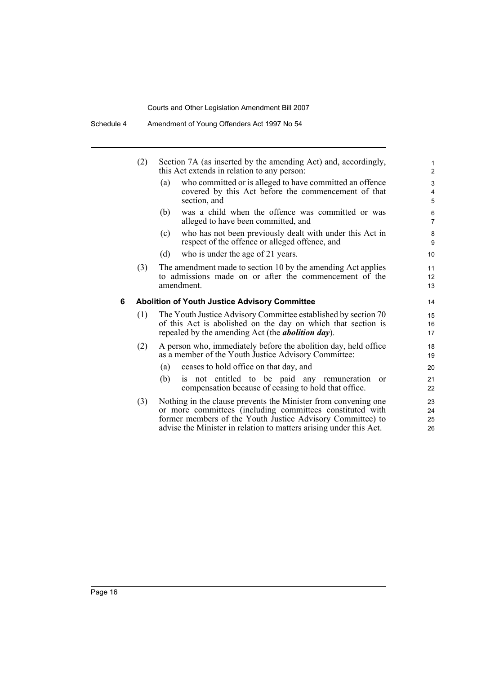|   | (2) | Section 7A (as inserted by the amending Act) and, accordingly,<br>this Act extends in relation to any person:                                                                                                                                                   |                             |  |
|---|-----|-----------------------------------------------------------------------------------------------------------------------------------------------------------------------------------------------------------------------------------------------------------------|-----------------------------|--|
|   |     | who committed or is alleged to have committed an offence<br>(a)<br>covered by this Act before the commencement of that<br>section, and                                                                                                                          | 3<br>4<br>5                 |  |
|   |     | was a child when the offence was committed or was<br>(b)<br>alleged to have been committed, and                                                                                                                                                                 | 6<br>$\overline{7}$         |  |
|   |     | who has not been previously dealt with under this Act in<br>(c)<br>respect of the offence or alleged offence, and                                                                                                                                               | 8<br>9                      |  |
|   |     | (d)<br>who is under the age of 21 years.                                                                                                                                                                                                                        | 10                          |  |
|   | (3) | The amendment made to section 10 by the amending Act applies<br>to admissions made on or after the commencement of the<br>amendment.                                                                                                                            | 11<br>12 <sup>°</sup><br>13 |  |
| 6 |     | <b>Abolition of Youth Justice Advisory Committee</b>                                                                                                                                                                                                            | 14                          |  |
|   | (1) | The Youth Justice Advisory Committee established by section 70<br>of this Act is abolished on the day on which that section is<br>repealed by the amending Act (the <i>abolition day</i> ).                                                                     | 15<br>16<br>17              |  |
|   | (2) | A person who, immediately before the abolition day, held office<br>as a member of the Youth Justice Advisory Committee:                                                                                                                                         | 18<br>19                    |  |
|   |     | ceases to hold office on that day, and<br>(a)                                                                                                                                                                                                                   | 20                          |  |
|   |     | is not entitled to be paid any remuneration<br>(b)<br>or<br>compensation because of ceasing to hold that office.                                                                                                                                                | 21<br>22                    |  |
|   | (3) | Nothing in the clause prevents the Minister from convening one<br>or more committees (including committees constituted with<br>former members of the Youth Justice Advisory Committee) to<br>advise the Minister in relation to matters arising under this Act. | 23<br>24<br>25<br>26        |  |